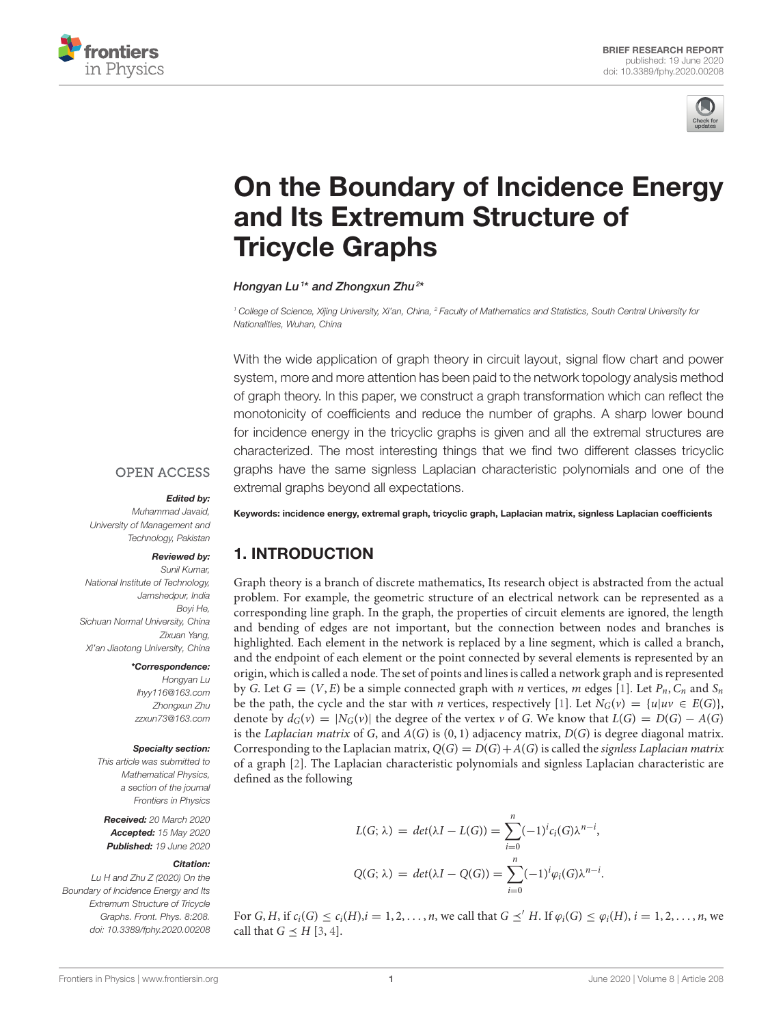



# [On the Boundary of Incidence Energy](https://www.frontiersin.org/articles/10.3389/fphy.2020.00208/full) and Its Extremum Structure of Tricycle Graphs

[Hongyan Lu](http://loop.frontiersin.org/people/896888/overview) <sup>1</sup>\* and [Zhongxun Zhu](http://loop.frontiersin.org/people/962699/overview)<sup>2</sup>\*

*<sup>1</sup> College of Science, Xijing University, Xi'an, China, <sup>2</sup> Faculty of Mathematics and Statistics, South Central University for Nationalities, Wuhan, China*

With the wide application of graph theory in circuit layout, signal flow chart and power system, more and more attention has been paid to the network topology analysis method of graph theory. In this paper, we construct a graph transformation which can reflect the monotonicity of coefficients and reduce the number of graphs. A sharp lower bound for incidence energy in the tricyclic graphs is given and all the extremal structures are characterized. The most interesting things that we find two different classes tricyclic graphs have the same signless Laplacian characteristic polynomials and one of the extremal graphs beyond all expectations.

#### **OPEN ACCESS**

#### Edited by:

*Muhammad Javaid, University of Management and Technology, Pakistan*

#### Reviewed by:

*Sunil Kumar, National Institute of Technology, Jamshedpur, India Boyi He, Sichuan Normal University, China Zixuan Yang, Xi'an Jiaotong University, China*

#### \*Correspondence:

*Hongyan Lu [lhyy116@163.com](mailto:lhyy116@163.com) Zhongxun Zhu [zzxun73@163.com](mailto:zzxun73@163.com)*

#### Specialty section:

*This article was submitted to Mathematical Physics, a section of the journal Frontiers in Physics*

Received: *20 March 2020* Accepted: *15 May 2020* Published: *19 June 2020*

#### Citation:

*Lu H and Zhu Z (2020) On the Boundary of Incidence Energy and Its Extremum Structure of Tricycle Graphs. Front. Phys. 8:208. doi: [10.3389/fphy.2020.00208](https://doi.org/10.3389/fphy.2020.00208)* Keywords: incidence energy, extremal graph, tricyclic graph, Laplacian matrix, signless Laplacian coefficients

# 1. INTRODUCTION

Graph theory is a branch of discrete mathematics, Its research object is abstracted from the actual problem. For example, the geometric structure of an electrical network can be represented as a corresponding line graph. In the graph, the properties of circuit elements are ignored, the length and bending of edges are not important, but the connection between nodes and branches is highlighted. Each element in the network is replaced by a line segment, which is called a branch, and the endpoint of each element or the point connected by several elements is represented by an origin, which is called a node. The set of points and lines is called a network graph and is represented by G. Let  $G = (V, E)$  be a simple connected graph with *n* vertices, *m* edges [\[1\]](#page-9-0). Let  $P_n$ ,  $C_n$  and  $S_n$ be the path, the cycle and the star with *n* vertices, respectively [\[1\]](#page-9-0). Let  $N_G(v) = \{u|uv \in E(G)\}\$ , denote by  $d_G(v) = |N_G(v)|$  the degree of the vertex v of G. We know that  $L(G) = D(G) - A(G)$ is the Laplacian matrix of G, and  $A(G)$  is  $(0, 1)$  adjacency matrix,  $D(G)$  is degree diagonal matrix. Corresponding to the Laplacian matrix,  $Q(G) = D(G) + A(G)$  is called the signless Laplacian matrix of a graph [\[2\]](#page-9-1). The Laplacian characteristic polynomials and signless Laplacian characteristic are defined as the following

$$
L(G; \lambda) = det(\lambda I - L(G)) = \sum_{i=0}^{n} (-1)^{i} c_i(G) \lambda^{n-i},
$$
  

$$
Q(G; \lambda) = det(\lambda I - Q(G)) = \sum_{i=0}^{n} (-1)^{i} \varphi_i(G) \lambda^{n-i}.
$$

For  $G, H$ , if  $c_i(G) \leq c_i(H)$ ,  $i = 1, 2, \ldots, n$ , we call that  $G \preceq' H$ . If  $\varphi_i(G) \leq \varphi_i(H)$ ,  $i = 1, 2, \ldots, n$ , we call that  $G \prec H$  [\[3,](#page-9-2) [4\]](#page-9-3).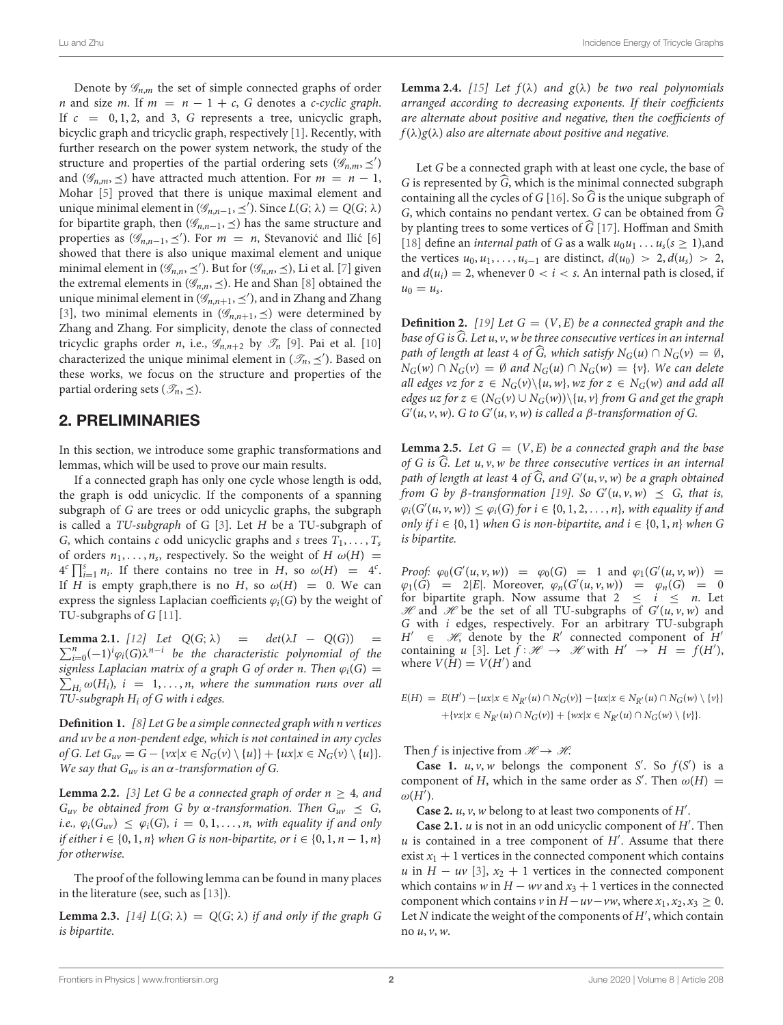Lu and Zhu Incidence Energy of Tricycle Graphs

Denote by  $\mathscr{G}_{n,m}$  the set of simple connected graphs of order *n* and size *m*. If  $m = n - 1 + c$ , G denotes a c-cyclic graph. If  $c = 0, 1, 2,$  and 3, G represents a tree, unicyclic graph, bicyclic graph and tricyclic graph, respectively [\[1\]](#page-9-0). Recently, with further research on the power system network, the study of the structure and properties of the partial ordering sets  $(\mathscr{G}_{n,m}, \preceq')$ and ( $\mathscr{G}_{n,m}$ ,  $\preceq$ ) have attracted much attention. For  $m = n - 1$ , Mohar [\[5\]](#page-9-4) proved that there is unique maximal element and unique minimal element in  $(\mathcal{G}_{n,n-1}, \leq')$ . Since  $L(G; \lambda) = Q(G; \lambda)$ for bipartite graph, then ( $\mathscr{G}_{n,n-1}, \leq$ ) has the same structure and properties as  $(\mathcal{G}_{n,n-1}, \leq')$ . For  $m = n$ , Stevanovic and Ilic [[6\]](#page-9-5) showed that there is also unique maximal element and unique minimal element in  $(\mathcal{G}_{n,n}, \leq')$ . But for  $(\mathcal{G}_{n,n}, \leq)$ , Li et al. [\[7\]](#page-9-6) given the extremal elements in ( $\mathscr{G}_{n,n}, \leq$ ). He and Shan [\[8\]](#page-9-7) obtained the unique minimal element in  $(\mathcal{G}_{n,n+1}, \leq')$ , and in Zhang and Zhang [\[3\]](#page-9-2), two minimal elements in  $(\mathscr{G}_{n,n+1}, \preceq)$  were determined by Zhang and Zhang. For simplicity, denote the class of connected tricyclic graphs order n, i.e.,  $\mathscr{G}_{n,n+2}$  by  $\mathscr{T}_n$  [\[9\]](#page-9-8). Pai et al. [\[10\]](#page-9-9) characterized the unique minimal element in  $(\mathcal{T}_n, \leq')$ . Based on these works, we focus on the structure and properties of the partial ordering sets ( $\mathcal{T}_n, \leq$ ).

### 2. PRELIMINARIES

In this section, we introduce some graphic transformations and lemmas, which will be used to prove our main results.

If a connected graph has only one cycle whose length is odd, the graph is odd unicyclic. If the components of a spanning subgraph of G are trees or odd unicyclic graphs, the subgraph is called a TU-subgraph of G [\[3\]](#page-9-2). Let H be a TU-subgraph of G, which contains c odd unicyclic graphs and s trees  $T_1, \ldots, T_s$ of orders  $n_1, \ldots, n_s$ , respectively. So the weight of  $H \omega(H) =$  $4^{c} \prod_{i=1}^{s} n_{i}$ . If there contains no tree in H, so  $\omega(H) = 4^{c}$ . If H is empty graph, there is no H, so  $\omega(H) = 0$ . We can express the signless Laplacian coefficients  $\varphi_i(G)$  by the weight of TU-subgraphs of G [\[11\]](#page-9-10).

**Lemma 2.1.** [\[12\]](#page-9-11) Let  $Q(G; \lambda)$  = det( $\lambda I - Q(G)$ ) =  $\sum_{i=0}^{n}(-1)^{i}\varphi_{i}(G)\lambda^{n-i}$  be the characteristic polynomial of the  $\sum_{H_i}^{\infty} \omega(H_i)$ ,  $i = 1, \ldots, n$ , where the summation runs over all signless Laplacian matrix of a graph G of order n. Then  $\varphi_i(G)$  = TU-subgraph  $H_i$  of G with i edges.

**Definition 1.** [\[8\]](#page-9-7) Let G be a simple connected graph with n vertices and uv be a non-pendent edge, which is not contained in any cycles of G. Let  $G_{uv} = G - \{vx | x \in N_G(v) \setminus \{u\}\} + \{ux | x \in N_G(v) \setminus \{u\}\}.$ We say that  $G_{uv}$  is an  $\alpha$ -transformation of G.

**Lemma 2.2.** [\[3\]](#page-9-2) Let G be a connected graph of order  $n \geq 4$ , and  $G_{uv}$  be obtained from G by  $\alpha$ -transformation. Then  $G_{uv} \preceq G$ , *i.e.*,  $\varphi_i(G_{uv}) \leq \varphi_i(G)$ ,  $i = 0, 1, ..., n$ , with equality if and only if either  $i \in \{0, 1, n\}$  when G is non-bipartite, or  $i \in \{0, 1, n-1, n\}$ for otherwise.

The proof of the following lemma can be found in many places in the literature (see, such as [\[13\]](#page-9-12)).

**Lemma 2.3.** [\[14\]](#page-9-13)  $L(G; \lambda) = Q(G; \lambda)$  if and only if the graph G is bipartite.

**Lemma 2.4.** [\[15\]](#page-9-14) Let  $f(\lambda)$  and  $g(\lambda)$  be two real polynomials arranged according to decreasing exponents. If their coefficients are alternate about positive and negative, then the coefficients of  $f(\lambda)g(\lambda)$  also are alternate about positive and negative.

Let G be a connected graph with at least one cycle, the base of G is represented by  $\widehat{G}$ , which is the minimal connected subgraph containing all the cycles of G [\[16\]](#page-9-15). So  $\widehat{G}$  is the unique subgraph of G, which contains no pendant vertex. G can be obtained from  $\widehat{G}$ by planting trees to some vertices of  $\widehat{G}$  [\[17\]](#page-9-16). Hoffman and Smith [\[18\]](#page-9-17) define an *internal path* of G as a walk  $u_0u_1 \ldots u_s(s \ge 1)$ , and the vertices  $u_0, u_1, \ldots, u_{s-1}$  are distinct,  $d(u_0) > 2, d(u_s) > 2$ , and  $d(u_i) = 2$ , whenever  $0 < i < s$ . An internal path is closed, if  $u_0 = u_s.$ 

**Definition 2.** [\[19\]](#page-9-18) Let  $G = (V, E)$  be a connected graph and the base of G is  $\widehat{G}$ . Let u, v, w be three consecutive vertices in an internal path of length at least 4 of  $\widehat{G}$ , which satisfy  $N_G(u) \cap N_G(v) = \emptyset$ ,  $N_G(w) \cap N_G(v) = \emptyset$  and  $N_G(u) \cap N_G(w) = \{v\}$ . We can delete all edges vz for  $z \in N_G(v) \setminus \{u, w\}$ , wz for  $z \in N_G(w)$  and add all edges uz for  $z \in (N_G(v) \cup N_G(w))\setminus \{u, v\}$  from G and get the graph  $G'(u, v, w)$ . G to  $G'(u, v, w)$  is called a  $\beta$ -transformation of G.

**Lemma 2.5.** Let  $G = (V, E)$  be a connected graph and the base of G is  $\widehat{G}$ . Let u, v, w be three consecutive vertices in an internal path of length at least  $4$  of  $G$ , and  $G'(u, v, w)$  be a graph obtained from G by  $\beta$ -transformation [\[19\]](#page-9-18). So  $G'(u, v, w) \preceq G$ , that is,  $\varphi_i(G'(u, v, w)) \leq \varphi_i(G)$  for  $i \in \{0, 1, 2, \ldots, n\}$ , with equality if and only if  $i \in \{0, 1\}$  when G is non-bipartite, and  $i \in \{0, 1, n\}$  when G is bipartite.

Proof:  $\varphi_0(G'(u, v, w)) = \varphi_0(G) = 1$  and  $\varphi_1(G'(u, v, w)) =$  $\varphi_1(G) = 2|E|$ . Moreover,  $\varphi_n(G'(u, v, w)) = \varphi_n(G) = 0$ for bipartite graph. Now assume that  $2 \le i \le n$ . Let  $\mathcal{H}$  and  $\mathcal{H}$  be the set of all TU-subgraphs of  $G'(u, v, w)$  and G with i edges, respectively. For an arbitrary TU-subgraph  $H' \in \mathcal{H}$ , denote by the R' connected component of  $H'$ containing u [\[3\]](#page-9-2). Let  $\hat{f} : \mathcal{H} \to \mathcal{H}$  with  $H' \to H = f(H')$ , where  $V(H) = V(H')$  and

$$
E(H) = E(H') - \{ux | x \in N_{R'}(u) \cap N_G(v)\} - \{ux | x \in N_{R'}(u) \cap N_G(w) \setminus \{v\}\} + \{vx | x \in N_{R'}(u) \cap N_G(v)\} + \{wx | x \in N_{R'}(u) \cap N_G(w) \setminus \{v\}\}.
$$

Then f is injective from  $\mathcal{H} \rightarrow \mathcal{H}$ .

**Case 1.**  $u, v, w$  belongs the component S'. So  $f(S')$  is a component of H, which in the same order as S'. Then  $\omega(H)$  =  $\omega(H').$ 

**Case 2.**  $u, v, w$  belong to at least two components of  $H'$ .

**Case 2.1.**  $u$  is not in an odd unicyclic component of  $H'$ . Then  $u$  is contained in a tree component of  $H'$ . Assume that there exist  $x_1 + 1$  vertices in the connected component which contains u in  $H - uv$  [\[3\]](#page-9-2),  $x_2 + 1$  vertices in the connected component which contains w in  $H - wv$  and  $x_3 + 1$  vertices in the connected component which contains v in  $H - uv - vw$ , where  $x_1, x_2, x_3 \geq 0$ . Let  $N$  indicate the weight of the components of  $H'$ , which contain no  $u, v, w$ .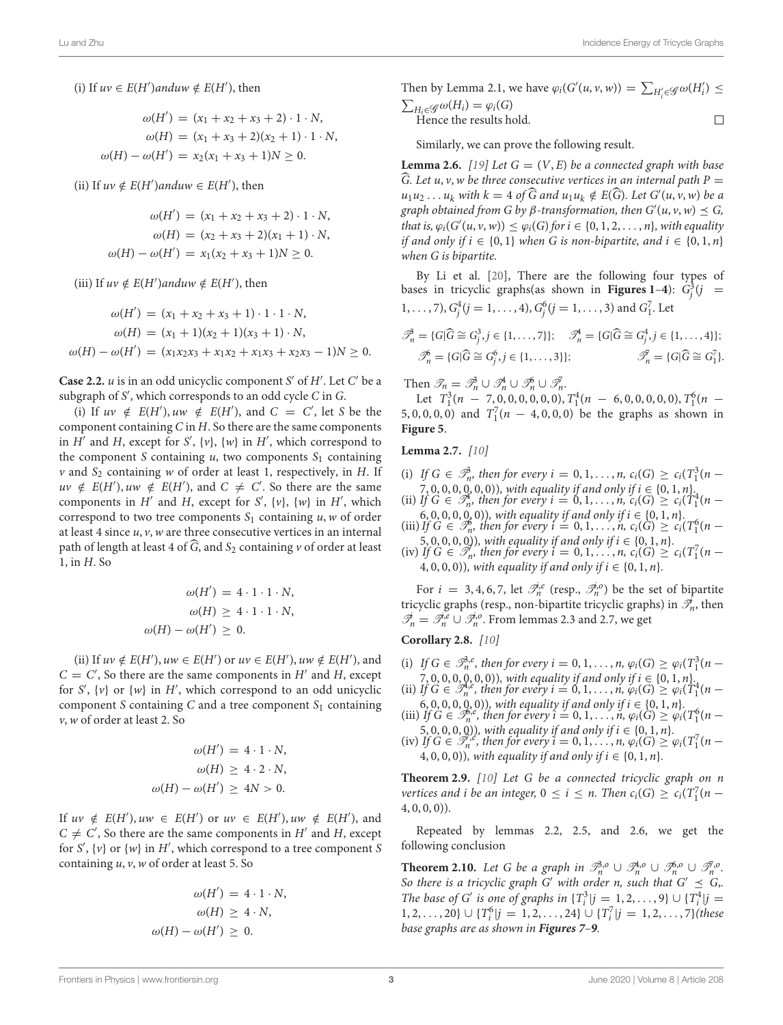(i) If  $uv \in E(H')$  and  $uv \notin E(H')$ , then

$$
\omega(H') = (x_1 + x_2 + x_3 + 2) \cdot 1 \cdot N,
$$
  
\n
$$
\omega(H) = (x_1 + x_3 + 2)(x_2 + 1) \cdot 1 \cdot N,
$$
  
\n
$$
\omega(H) - \omega(H') = x_2(x_1 + x_3 + 1)N \ge 0.
$$

(ii) If  $uv \notin E(H')$  and  $uw \in E(H')$ , then

$$
\omega(H') = (x_1 + x_2 + x_3 + 2) \cdot 1 \cdot N,
$$
  
\n
$$
\omega(H) = (x_2 + x_3 + 2)(x_1 + 1) \cdot N,
$$
  
\n
$$
\omega(H) - \omega(H') = x_1(x_2 + x_3 + 1)N \ge 0.
$$

(iii) If  $uv \notin E(H')$ anduw  $\notin E(H')$ , then

$$
\omega(H') = (x_1 + x_2 + x_3 + 1) \cdot 1 \cdot 1 \cdot N,
$$
  
\n
$$
\omega(H) = (x_1 + 1)(x_2 + 1)(x_3 + 1) \cdot N,
$$
  
\n
$$
\omega(H) - \omega(H') = (x_1x_2x_3 + x_1x_2 + x_1x_3 + x_2x_3 - 1)N \ge 0.
$$

**Case 2.2.**  $u$  is in an odd unicyclic component S' of  $H'$ . Let  $C'$  be a subgraph of S ′ , which corresponds to an odd cycle C in G.

(i) If  $uv \notin E(H')$ ,  $uw \notin E(H')$ , and  $C = C'$ , let S be the component containing  $C$  in  $H$ . So there are the same components in  $H'$  and  $H$ , except for  $S'$ ,  $\{v\}$ ,  $\{w\}$  in  $H'$ , which correspond to the component S containing  $u$ , two components  $S_1$  containing  $v$  and  $S_2$  containing w of order at least 1, respectively, in H. If  $uv \notin E(H')$ ,  $uw \notin E(H')$ , and  $C \neq C'$ . So there are the same components in  $H'$  and  $H$ , except for  $S'$ ,  $\{v\}$ ,  $\{w\}$  in  $H'$ , which correspond to two tree components  $S_1$  containing  $u, w$  of order at least 4 since  $u$ ,  $v$ ,  $w$  are three consecutive vertices in an internal path of length at least 4 of  $\widehat{G}$ , and  $S_2$  containing v of order at least 1, in H. So

$$
\omega(H') = 4 \cdot 1 \cdot 1 \cdot N,
$$
  
\n
$$
\omega(H) \ge 4 \cdot 1 \cdot 1 \cdot N,
$$
  
\n
$$
\omega(H) - \omega(H') \ge 0.
$$

(ii) If  $uv \notin E(H')$ ,  $uw \in E(H')$  or  $uv \in E(H')$ ,  $uw \notin E(H')$ , and  $C = C'$ , So there are the same components in H' and H, except for  $S'$ ,  $\{v\}$  or  $\{w\}$  in  $H'$ , which correspond to an odd unicyclic component S containing C and a tree component  $S_1$  containing v,w of order at least 2. So

$$
\omega(H') = 4 \cdot 1 \cdot N,
$$
  
\n
$$
\omega(H) \ge 4 \cdot 2 \cdot N,
$$
  
\n
$$
\omega(H) - \omega(H') \ge 4N > 0.
$$

If  $uv \notin E(H')$ ,  $uw \in E(H')$  or  $uv \in E(H')$ ,  $uw \notin E(H')$ , and  $C \neq C'$ , So there are the same components in H' and H, except for  $S'$ ,  $\{v\}$  or  $\{w\}$  in  $H'$ , which correspond to a tree component  $S$ containing  $u$ ,  $v$ ,  $w$  of order at least 5. So

$$
\omega(H') = 4 \cdot 1 \cdot N,
$$
  
\n
$$
\omega(H) \ge 4 \cdot N,
$$
  
\n
$$
\omega(H) - \omega(H') \ge 0.
$$

Then by Lemma 2.1, we have  $\varphi_i(G'(u, v, w)) = \sum_{H'_i \in \mathscr{G}} \omega(H'_i) \leq$  $\sum_{H_i \in \mathscr{G}} \omega(H_i) = \varphi_i(G)$ 

Hence the results hold. 
$$
\Box
$$

Similarly, we can prove the following result.

**Lemma 2.6.** [\[19\]](#page-9-18) Let  $G = (V, E)$  be a connected graph with base  $\widehat{G}$ . Let u, v, w be three consecutive vertices in an internal path P  $=$  $u_1u_2 \ldots u_k$  with  $k = 4$  of G and  $u_1u_k \notin E(G)$ . Let  $G'(u, v, w)$  be a graph obtained from G by β-transformation, then  $G'(u, v, w) \preceq G$ , that is,  $\varphi_i(G'(u, v, w)) \leq \varphi_i(G)$  for  $i \in \{0, 1, 2, ..., n\}$ , with equality if and only if  $i \in \{0, 1\}$  when G is non-bipartite, and  $i \in \{0, 1, n\}$ when G is bipartite.

By Li et al. [\[20\]](#page-9-19), There are the following four types of bases in tricyclic graphs(as shown in **[Figures 1](#page-3-0)–[4](#page-3-3)**):  $G_j^3(j)$  $1, \ldots, 7$ ,  $G_j^4 (j = 1, \ldots, 4)$ ,  $G_j^6 (j = 1, \ldots, 3)$  and  $G_1^7$ . Let

$$
\mathcal{P}_n^{\lambda} = \{G|\widehat{G} \cong G_j^3, j \in \{1, \dots, 7\}\}; \quad \mathcal{P}_n^{\lambda} = \{G|\widehat{G} \cong G_j^4, j \in \{1, \dots, 4\}\};
$$
  

$$
\mathcal{P}_n^{\beta} = \{G|\widehat{G} \cong G_j^{\beta}, j \in \{1, \dots, 3\}\}; \quad \mathcal{P}_n^{\gamma} = \{G|\widehat{G} \cong G_1^7\}.
$$

Then  $\mathcal{T}_n = \mathcal{T}_n^3 \cup \mathcal{T}_n^4 \cup \mathcal{T}_n^6 \cup \mathcal{T}_n^7$ .

Let  $T_1^3(n - 7, 0, 0, 0, 0, 0, 0), T_1^4(n - 6, 0, 0, 0, 0, 0), T_1^6(n -$ 5, 0, 0, 0, 0) and  $T_1^7(n - 4, 0, 0, 0)$  be the graphs as shown in **[Figure 5](#page-4-0)**.

**Lemma 2.7.** [\[10\]](#page-9-9)

- (i) If  $G \in \mathcal{P}_n^3$ , then for every  $i = 0, 1, ..., n$ ,  $c_i(G) \ge c_i(T_1^3(n -$ (i) If  $G \in \mathcal{P}_n^h$ , then for every  $i = 0, 1, ..., n$ ,  $c_i(G) \ge c_i(\frac{1}{1}n - 7, 0, 0, 0, 0, 0)$ ), with equality if and only if  $i \in \{0, 1, n\}$ .<br>(ii) If  $G \in \mathcal{P}_n^h$ , then for every  $i = 0, 1, ..., n$ ,  $c_i(G) \ge c_i(T_1^4(n - 1))$
- 
- 6, 0, 0, 0, 0)), with equality if and only if  $i \in \{0, 1, n\}$ .<br>
(iii) If  $G \in \mathcal{I}_n^6$ , then for every  $i = 0, 1, ..., n$ ,  $c_i(G) \ge c_i(T_1^6(n -$
- 5, 0, 0, 0, 0)), with equality if and only if  $i \in \{0, 1, n\}$ .<br>(iv) If  $G \in \mathcal{I}_n$ , then for every  $i = 0, 1, ..., n$ ,  $c_i(G) \ge c_i(T_1^7(n -$ 4, 0, 0, 0)), with equality if and only if  $i \in \{0, 1, n\}$ .

For  $i = 3, 4, 6, 7$ , let  $\mathcal{I}_n^{i,e}$  (resp.,  $\mathcal{I}_n^{i,o}$ ) be the set of bipartite tricyclic graphs (resp., non-bipartite tricyclic graphs) in  $\mathcal{I}_n^i$ , then  $\mathscr{T}_n^i = \mathscr{T}_n^{i.e} \cup \mathscr{T}_n^{i.o}$ . From lemmas 2.3 and 2.7, we get

**Corollary 2.8.** [\[10\]](#page-9-9)

- (i) If  $G \in \mathcal{P}_n^{3,\varepsilon}$ , then for every  $i = 0, 1, ..., n$ ,  $\varphi_i(G) \ge \varphi_i(T_1^3(n -$ (i) If  $G \in \mathcal{S}_n^n$ , then for every  $i = 0, 1, ..., n$ ,  $\psi_i(G) \geq \psi_i(\tau_1(n-7, 0, 0, 0, 0, 0))$ , with equality if and only if  $i \in \{0, 1, n\}$ .<br>(ii) If  $G \in \mathcal{S}_n^{n_e}$ , then for every  $i = 0, 1, ..., n$ ,  $\varphi_i(G) \geq \varphi_i(T_1^4(n-7, 0, 0,$
- 
- 6, 0, 0, 0, 0, 0)), with equality if and only if  $i \in \{0, 1, n\}$ .<br>(iii) If  $G \in \mathcal{S}_n^{6,\epsilon}$ , then for every  $i = 0, 1, ..., n$ ,  $\varphi_i(G) \ge \varphi_i(T_1^6(n \epsilon)$ 5, 0, 0, 0, 0)), with equality if and only if  $i \in \{0, 1, n\}$ .<br>(iv) If  $G \in \mathcal{I}_n^{\gamma,\theta}$ , then for every  $i = 0, 1, ..., n$ ,  $\varphi_i(G) \geq \varphi_i(T_1^{\gamma}(n -$
- 4, 0, 0, 0)), with equality if and only if  $i \in \{0, 1, n\}$ .

**Theorem 2.9.** [\[10\]](#page-9-9) Let G be a connected tricyclic graph on n vertices and i be an integer,  $0 \le i \le n$ . Then  $c_i(G) \ge c_i(T_1^7(n (4, 0, 0, 0)$ .

Repeated by lemmas 2.2, 2.5, and 2.6, we get the following conclusion

**Theorem 2.10.** Let G be a graph in  $\mathcal{P}_n^{3,0} \cup \mathcal{P}_n^{4,0} \cup \mathcal{P}_n^{6,0} \cup \mathcal{P}_n^{7,0}$ . So there is a tricyclic graph G' with order n, such that  $G' \preceq G$ , The base of G' is one of graphs in  $\{T_i^3 | j = 1, 2, ..., 9\} \cup \{T_i^4 | j = 1, 2, ...\}$  $\{1, 2, \ldots, 20\} \cup \{T_i^6 | j = 1, 2, \ldots, 24\} \cup \{T_i^7 | j = 1, 2, \ldots, 7\}$  (these base graphs are as shown in **[Figures 7](#page-7-0)**[–](#page-7-1)**[9](#page-8-0)**.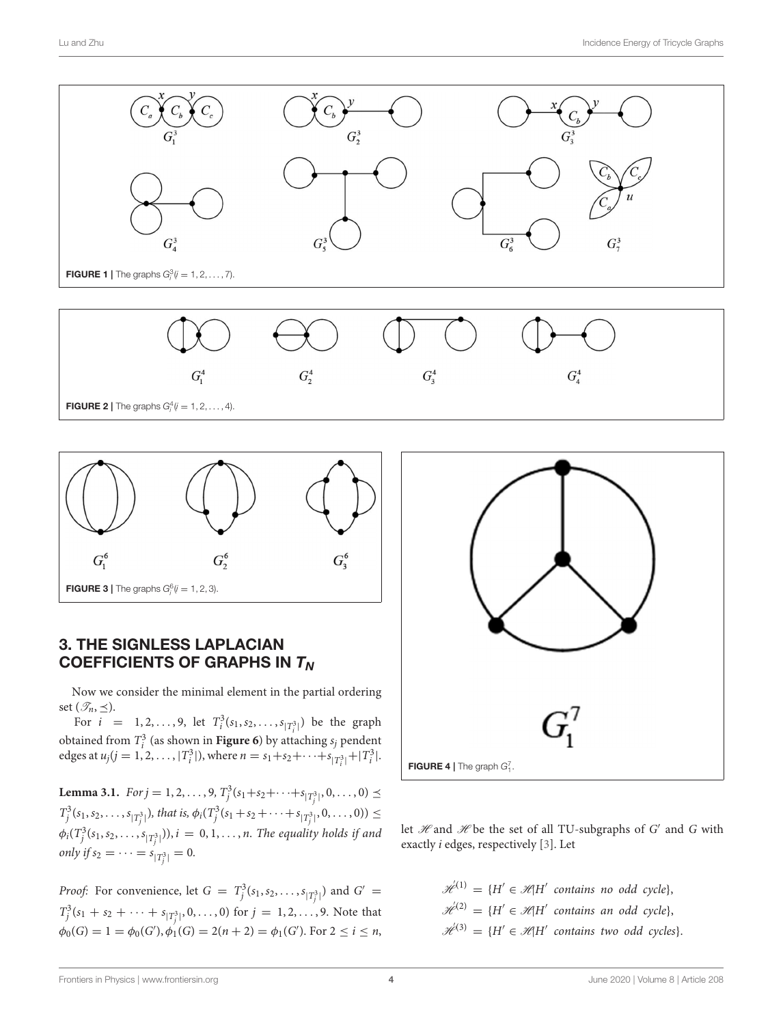<span id="page-3-0"></span>

<span id="page-3-1"></span>![](_page_3_Figure_3.jpeg)

### <span id="page-3-2"></span>3. THE SIGNLESS LAPLACIAN COEFFICIENTS OF GRAPHS IN  $T_N$

Now we consider the minimal element in the partial ordering set  $(\mathscr{T}_n, \preceq)$ .

For  $i = 1, 2, ..., 9$ , let  $T_i^3(s_1, s_2, ..., s_{|T_i^3|})$  be the graph obtained from  $T_i^3$  (as shown in **[Figure 6](#page-4-1)**) by attaching  $s_j$  pendent edges at  $u_j (j = 1, 2, ..., |T_i^3|)$ , where  $n = s_1 + s_2 + \cdots + s_{|T_i^3|} + |T_i^3|$ .

**Lemma 3.1.**  $For j = 1, 2, ..., 9, T_j^3(s_1 + s_2 + ... + s_{|T_j^3|}, 0, ..., 0) \le$  $T_j^3(s_1, s_2, \ldots, s_{|T_j^3|}),$  that is,  $\phi_i(T_j^3(s_1 + s_2 + \cdots + s_{|T_j^3|}, 0, \ldots, 0)) \le$  $\phi_i(T^3_j(s_1,s_2,\ldots,s_{|T^3_j|})), i\,=\,0,1,\ldots,n.$  The equality holds if and only if  $s_2 = \cdots = s_{|T_j^3|} = 0$ .

*Proof:* For convenience, let  $G = T_j^3(s_1, s_2, \ldots, s_{|T_j^3|})$  and  $G' =$  $T_j^3(s_1 + s_2 + \cdots + s_{|T_j^3|}, 0, \ldots, 0)$  for  $j = 1, 2, \ldots, 9$ . Note that  $\phi_0(G) = 1 = \phi_0(G'), \phi_1(G) = 2(n + 2) = \phi_1(G').$  For  $2 \le i \le n$ ,

![](_page_3_Figure_9.jpeg)

<span id="page-3-3"></span>let  $\mathcal{H}$  and  $\mathcal{H}$  be the set of all TU-subgraphs of  $G'$  and  $G$  with exactly i edges, respectively [\[3\]](#page-9-2). Let

> $\mathscr{H}^{(1)} = \{H' \in \mathscr{H} | H' \text{ contains no odd cycle}\},\$  $\mathscr{H}^{(2)} = \{H' \in \mathscr{H} | H' \text{ contains an odd cycle}\},\$  $\mathscr{H}^{(3)} = \{H' \in \mathscr{H} | H' \text{ contains two odd cycles}\}.$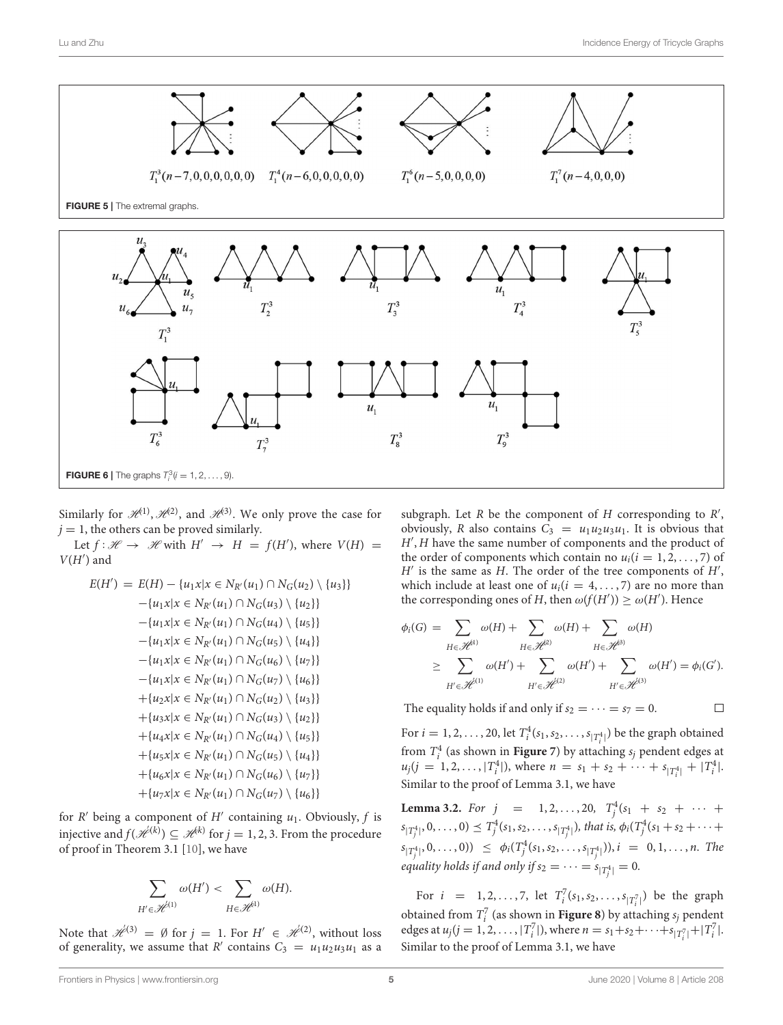<span id="page-4-0"></span>![](_page_4_Figure_2.jpeg)

<span id="page-4-1"></span>Similarly for  $\mathcal{H}^{(1)}$ ,  $\mathcal{H}^{(2)}$ , and  $\mathcal{H}^{(3)}$ . We only prove the case for  $j = 1$ , the others can be proved similarly.

Let  $f: \mathcal{H} \to \mathcal{H}$  with  $H' \to H = f(H')$ , where  $V(H) =$  $V(H')$  and

$$
E(H') = E(H) - \{u_1x | x \in N_{R'}(u_1) \cap N_G(u_2) \setminus \{u_3\}\} - \{u_1x | x \in N_{R'}(u_1) \cap N_G(u_3) \setminus \{u_2\}\} - \{u_1x | x \in N_{R'}(u_1) \cap N_G(u_4) \setminus \{u_5\}\} - \{u_1x | x \in N_{R'}(u_1) \cap N_G(u_5) \setminus \{u_4\}\} - \{u_1x | x \in N_{R'}(u_1) \cap N_G(u_6) \setminus \{u_7\}\} - \{u_1x | x \in N_{R'}(u_1) \cap N_G(u_7) \setminus \{u_6\}\} + \{u_2x | x \in N_{R'}(u_1) \cap N_G(u_2) \setminus \{u_3\}\} + \{u_3x | x \in N_{R'}(u_1) \cap N_G(u_3) \setminus \{u_2\}\} + \{u_4x | x \in N_{R'}(u_1) \cap N_G(u_4) \setminus \{u_5\}\} + \{u_5x | x \in N_{R'}(u_1) \cap N_G(u_5) \setminus \{u_4\}\} + \{u_6x | x \in N_{R'}(u_1) \cap N_G(u_6) \setminus \{u_7\}\} + \{u_7x | x \in N_{R'}(u_1) \cap N_G(u_7) \setminus \{u_6\}\}
$$

for  $R'$  being a component of  $H'$  containing  $u_1$ . Obviously,  $f$  is injective and  $f(\mathscr{H}^{(k)}) \subseteq \mathscr{H}^{(k)}$  for  $j = 1, 2, 3$ . From the procedure of proof in Theorem 3.1 [\[10\]](#page-9-9), we have

$$
\sum_{H' \in \mathcal{H}^{(1)}} \omega(H') < \sum_{H \in \mathcal{H}^{(1)}} \omega(H).
$$

Note that  $\mathcal{H}^{(3)} = \emptyset$  for  $j = 1$ . For  $H' \in \mathcal{H}^{(2)}$ , without loss of generality, we assume that R' contains  $C_3 = u_1 u_2 u_3 u_1$  as a

subgraph. Let  $R$  be the component of  $H$  corresponding to  $R'$ , obviously, R also contains  $C_3 = u_1u_2u_3u_1$ . It is obvious that H′ , H have the same number of components and the product of the order of components which contain no  $u_i(i = 1, 2, \ldots, 7)$  of  $H'$  is the same as H. The order of the tree components of  $H'$ , which include at least one of  $u_i(i = 4, \ldots, 7)$  are no more than the corresponding ones of H, then  $\omega(f(H')) \geq \omega(H')$ . Hence

$$
\phi_i(G) = \sum_{H \in \mathcal{H}^{(3)}} \omega(H) + \sum_{H \in \mathcal{H}^{(3)}} \omega(H) + \sum_{H \in \mathcal{H}^{(3)}} \omega(H)
$$
  
\n
$$
\geq \sum_{H' \in \mathcal{H}^{(1)}} \omega(H') + \sum_{H' \in \mathcal{H}^{(2)}} \omega(H') + \sum_{H' \in \mathcal{H}^{(3)}} \omega(H') = \phi_i(G').
$$

The equality holds if and only if  $s_2 = \cdots = s_7 = 0$ .

 $\Box$ 

For  $i = 1, 2, ..., 20$ , let  $T_i^4(s_1, s_2, ..., s_{|T_i^4|})$  be the graph obtained from  $T_i^4$  (as shown in **Figure** 7) by attaching  $s_j$  pendent edges at  $u_j(j = 1, 2, ..., |T_1^4|)$ , where  $n = s_1 + s_2 + ... + s_{|T_1^4|} + |T_1^4|$ . Similar to the proof of Lemma 3.1, we have

**Lemma 3.2.** For  $j = 1, 2, ..., 20, T_j^4(s_1 + s_2 + \cdots +$  $s_{|T^4_j|}, 0, \ldots, 0) \preceq T^4_j(s_1, s_2, \ldots, s_{|T^4_j|}),$  that is,  $\phi_i(T^4_j(s_1 + s_2 + \cdots +$  $s_{|T_j^4|}, 0, \ldots, 0)$   $\leq \phi_i(T_j^4(s_1, s_2, \ldots, s_{|T_j^4|})), i = 0, 1, \ldots, n$ . The equality holds if and only if  $s_2=\cdots=s_{|T^4_j|}=0.$ 

For  $i = 1, 2, ..., 7$ , let  $T_i^7(s_1, s_2, ..., s_{|T_i^7|})$  be the graph obtained from  $T_i^7$  (as shown in **[Figure 8](#page-7-1)**) by attaching  $s_j$  pendent edges at  $u_j (j = 1, 2, ..., |T_i^7|)$ , where  $n = s_1 + s_2 + ... + s_{|T_i^7|} + |T_i^7|$ . Similar to the proof of Lemma 3.1, we have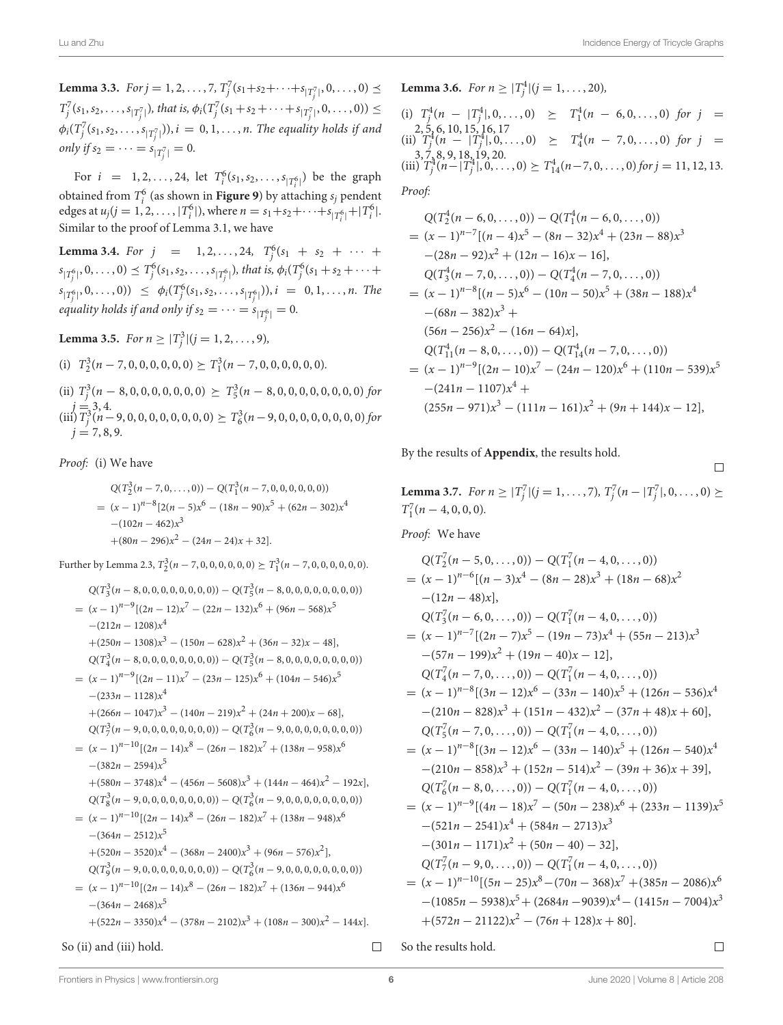**Lemma 3.3.**  $For j = 1, 2, ..., 7, T_j^7(s_1 + s_2 + \cdots + s_{|T_j^7|}, 0, ..., 0) \le$  $T_j^7(s_1, s_2, \ldots, s_{|T_j^7|}),$  that is,  $\phi_i(T_j^7(s_1 + s_2 + \cdots + s_{|T_j^7|}, 0, \ldots, 0)) \le$  $\phi_i(T_j^7(s_1,s_2,\ldots,s_{|T_j^7|})), i\,=\,0,1,\ldots,n.$  The equality holds if and only if  $s_2 = \cdots = s_{|T_j^7|} = 0$ .

For  $i = 1, 2, ..., 24$ , let  $T_i^6(s_1, s_2, ..., s_{|T_i^6|})$  be the graph obtained from  $T_i^6$  (as shown in **[Figure 9](#page-8-0)**) by attaching  $s_j$  pendent edges at  $u_j (j = 1, 2, ..., |T_i^6|)$ , where  $n = s_1 + s_2 + \cdots + s_{|T_i^6|} + |T_i^6|$ . Similar to the proof of Lemma 3.1, we have

**Lemma 3.4.** For  $j = 1, 2, ..., 24, T_j^6(s_1 + s_2 + \cdots +$  $s_{|T^6_j|}, 0, \ldots, 0) \preceq T^6_j(s_1, s_2, \ldots, s_{|T^6_j|}),$  that is,  $\phi_i(T^6_j(s_1 + s_2 + \cdots +$  $s_{|T_j^6|}, 0, \ldots, 0)$   $\leq \phi_i(T_j^6(s_1, s_2, \ldots, s_{|T_j^6|})), i = 0, 1, \ldots, n$ . The equality holds if and only if  $s_2=\cdots=s_{|T^6_j|}=0.$ 

**Lemma 3.5.** For  $n \geq |T_j^3|(j = 1, 2, ..., 9)$ ,

(i) 
$$
T_2^3(n-7,0,0,0,0,0,0) \ge T_1^3(n-7,0,0,0,0,0,0).
$$

(ii)  $T_j^3(n-8,0,0,0,0,0,0,0) \geq T_5^3(n-8,0,0,0,0,0,0,0,0)$  for  $\begin{array}{c}\n (\text{iii})\,\overline{\mathcal{T}}_j^3(4.000,0,0,0,0,0,0,0) \succeq T_6^3(n-9,0,0,0,0,0,0,0,0) \, for\end{array}$  $j = 7, 8, 9.$ 

Proof: (i) We have

$$
Q(T_2^3(n-7,0,\ldots,0)) - Q(T_1^3(n-7,0,0,0,0,0,0))
$$
  
=  $(x-1)^{n-8} [2(n-5)x^6 - (18n-90)x^5 + (62n-302)x^4$   
 $-(102n-462)x^3$   
 $+(80n-296)x^2 - (24n-24)x + 32].$ 

Further by Lemma 2.3,  $T_2^3(n-7,0,0,0,0,0,0) \ge T_1^3(n-7,0,0,0,0,0,0)$ .

$$
Q(T_3^3(n-8,0,0,0,0,0,0,0,0)) - Q(T_5^3(n-8,0,0,0,0,0,0,0,0))
$$
  
=  $(x-1)^{n-9}[(2n-12)x^7 - (22n-132)x^6 + (96n-568)x^5$   
 $-(212n-1208)x^4$   
+  $(250n-1308)x^3 - (150n-628)x^2 + (36n-32)x-48]$ ,  
 $Q(T_4^3(n-8,0,0,0,0,0,0,0)) - Q(T_5^3(n-8,0,0,0,0,0,0,0,0))$   
=  $(x-1)^{n-9}[(2n-11)x^7 - (23n-125)x^6 + (104n-546)x^5$   
 $-(233n-1128)x^4$   
+  $(266n-1047)x^3 - (140n-219)x^2 + (24n+200)x-68]$ ,  
 $Q(T_7^3(n-9,0,0,0,0,0,0,0)) - Q(T_6^3(n-9,0,0,0,0,0,0,0))$   
=  $(x-1)^{n-10}[(2n-14)x^8 - (26n-182)x^7 + (138n-958)x^6$   
 $-(382n-2594)x^5$   
+  $(580n-3748)x^4 - (456n-5608)x^3 + (144n-464)x^2 - 192x]$ ,  
 $Q(T_8^3(n-9,0,0,0,0,0,0,0)) - Q(T_6^3(n-9,0,0,0,0,0,0,0,0))$   
=  $(x-1)^{n-10}[(2n-14)x^8 - (26n-182)x^7 + (138n-948)x^6$   
 $-(364n-2512)x^5$   
+  $(520n-3520)x^4 - (368n-2400)x^3 + (96n-576)x^2]$ ,  
 $Q(T_9^3(n-9,0,0,0,0,0,0,0,0)) - Q(T_6^3(n-9,0,0,0,0,0,0$ 

So (ii) and (iii) hold.

**Lemma 3.6.** For 
$$
n \ge |T_j^4|(j = 1, ..., 20)
$$
,  
\n(i)  $T_j^4(n - |T_j^4|, 0, ..., 0) \ge T_1^4(n - 6, 0, ..., 0)$  for  $j =$   
\n $\begin{array}{rcl}\n2, 5, 6, 10, 15, 16, 17 \\
(ii) T_j^4(n - |T_j^4|, 0, ..., 0) \ge T_4^4(n - 7, 0, ..., 0) \text{ for } j =$   
\n $\begin{array}{rcl}\n3, 7, 8, 9, 18, 19, 20 \\
(iii) T_j^4(n - |T_j^4|, 0, ..., 0) \ge T_{14}^4(n - 7, 0, ..., 0) \text{ for } j = 11, 12, 13.\n\end{array}$   
\nProof:

$$
Q(T_2^4(n-6,0,\ldots,0)) - Q(T_1^4(n-6,0,\ldots,0))
$$
  
=  $(x-1)^{n-7}[(n-4)x^5 - (8n-32)x^4 + (23n-88)x^3$   
 $-(28n-92)x^2 + (12n-16)x - 16],$   
 $Q(T_3^4(n-7,0,\ldots,0)) - Q(T_4^4(n-7,0,\ldots,0))$   
=  $(x-1)^{n-8}[(n-5)x^6 - (10n-50)x^5 + (38n-188)x^4$   
 $-(68n-382)x^3 +$   
 $(56n-256)x^2 - (16n-64)x],$   
 $Q(T_{11}^4(n-8,0,\ldots,0)) - Q(T_{14}^4(n-7,0,\ldots,0))$   
=  $(x-1)^{n-9}[(2n-10)x^7 - (24n-120)x^6 + (110n-539)x^5$   
 $-(241n-1107)x^4 +$   
 $(255n-971)x^3 - (111n-161)x^2 + (9n+144)x - 12],$ 

By the results of **[Appendix](#page-8-1)**, the results hold.

**Lemma 3.7.** For  $n \geq |T_j^7|$   $(j = 1, ..., 7)$ ,  $T_j^7(n - |T_j^7|, 0, ..., 0) \geq$  $T_1^7(n-4,0,0,0).$ 

Proof: We have

$$
Q(T_2(n-5,0,\ldots,0)) - Q(T_1(n-4,0,\ldots,0))
$$
  
=  $(x-1)^{n-6}[(n-3)x^4 - (8n-28)x^3 + (18n-68)x^2$   
 $-(12n-48)x],$   

$$
Q(T_3^7(n-6,0,\ldots,0)) - Q(T_1^7(n-4,0,\ldots,0))
$$
  
=  $(x-1)^{n-7}[(2n-7)x^5 - (19n-73)x^4 + (55n-213)x^3$   
 $-(57n-199)x^2 + (19n-40)x - 12],$   

$$
Q(T_4^7(n-7,0,\ldots,0)) - Q(T_1^7(n-4,0,\ldots,0))
$$
  
=  $(x-1)^{n-8}[(3n-12)x^6 - (33n-140)x^5 + (126n-536)x^4$   
 $-(210n-828)x^3 + (151n-432)x^2 - (37n+48)x + 60],$   

$$
Q(T_5^7(n-7,0,\ldots,0)) - Q(T_1^7(n-4,0,\ldots,0))
$$
  
=  $(x-1)^{n-8}[(3n-12)x^6 - (33n-140)x^5 + (126n-540)x^4$   
 $-(210n-858)x^3 + (152n-514)x^2 - (39n+36)x + 39],$   

$$
Q(T_6^7(n-8,0,\ldots,0)) - Q(T_1^7(n-4,0,\ldots,0))
$$
  
=  $(x-1)^{n-9}[(4n-18)x^7 - (50n-238)x^6 + (233n-1139)x^5$   
 $-(521n-2541)x^4 + (584n-2713)x^3$   
 $-(301n-1171)x^2 + (50n-40) - 32],$   

$$
Q(T_7^7(n-9,0,\ldots,0)) - Q(T_1^7(n-4,0,\ldots,0))
$$
  
=  $(x-1)^{n-10}[(5n-25)x^8 - (70n-368)x^7 + (385n-20$ 

 $\Box$ So the results hold.  $\Box$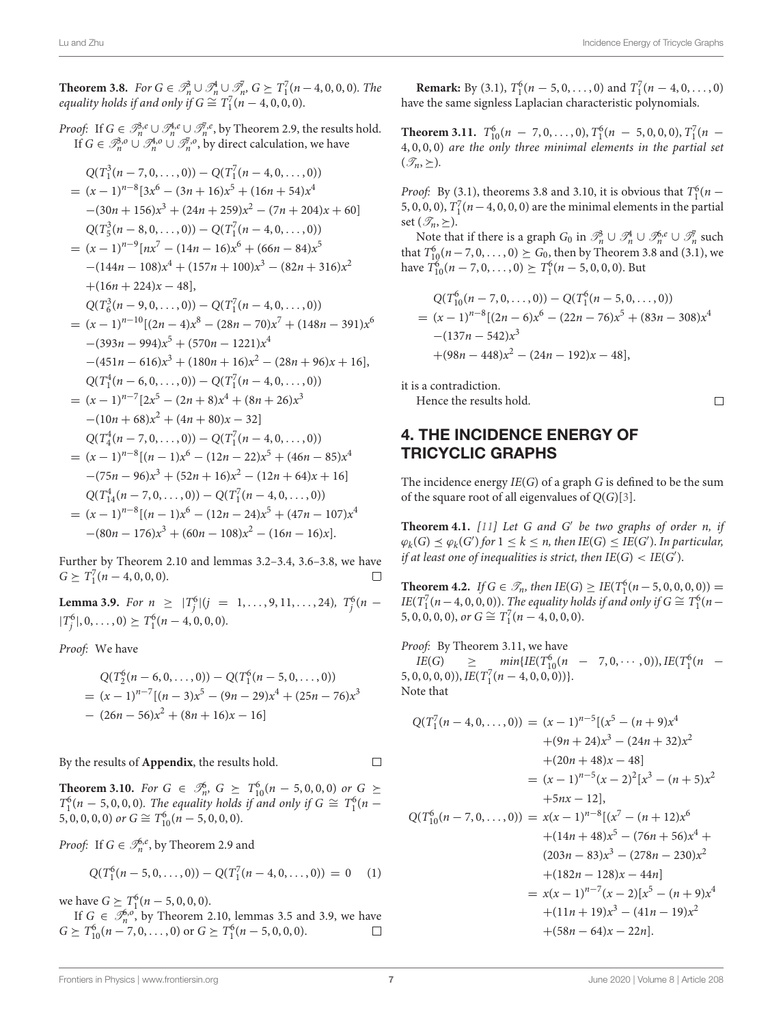$\Box$ 

**Theorem 3.8.** For  $G \in \mathcal{P}_n^1 \cup \mathcal{P}_n^1 \cup \mathcal{P}_n^7$ ,  $G \succeq T_1^7(n-4,0,0,0)$ . The equality holds if and only if  $G \cong T_1^7(n-4,0,0,0)$ .

*Proof:* If  $G \in \mathscr{B}_n^3$ , $e \cup \mathscr{B}_n^4$ , $e \cup \mathscr{B}_n^7$ , by Theorem 2.9, the results hold. If  $G \in \mathcal{P}_n^{3,0} \cup \mathcal{P}_n^{4,0} \cup \mathcal{P}_n^{7,0}$ , by direct calculation, we have

$$
Q(T_1^3(n-7,0,\ldots,0)) - Q(T_1^7(n-4,0,\ldots,0))
$$
  
=  $(x-1)^{n-8}[3x^6 - (3n+16)x^5 + (16n+54)x^4$   
 $-(30n+156)x^3 + (24n+259)x^2 - (7n+204)x+60]$   
 $Q(T_5^3(n-8,0,\ldots,0)) - Q(T_1^7(n-4,0,\ldots,0))$   
=  $(x-1)^{n-9}[nx^7 - (14n-16)x^6 + (66n-84)x^5$   
 $-(144n-108)x^4 + (157n+100)x^3 - (82n+316)x^2$   
+ $(16n+224)x - 48]$ ,  
 $Q(T_6^3(n-9,0,\ldots,0)) - Q(T_1^7(n-4,0,\ldots,0))$   
=  $(x-1)^{n-10}[(2n-4)x^8 - (28n-70)x^7 + (148n-391)x^6$   
 $-(393n-994)x^5 + (570n-1221)x^4$   
 $-(451n-616)x^3 + (180n+16)x^2 - (28n+96)x+16]$ ,  
 $Q(T_1^4(n-6,0,\ldots,0)) - Q(T_1^7(n-4,0,\ldots,0))$   
=  $(x-1)^{n-7}[2x^5 - (2n+8)x^4 + (8n+26)x^3$   
 $-(10n+68)x^2 + (4n+80)x - 32]$   
 $Q(T_4^4(n-7,0,\ldots,0)) - Q(T_1^7(n-4,0,\ldots,0))$   
=  $(x-1)^{n-8}[(n-1)x^6 - (12n-22)x^5 + (46n-85)x^4$   
 $-(75n-96)x^3 + (52n+16)x^2 - (12n+64)x+16]$   
 $Q(T_{14}^4(n-7,0,\ldots,0)) - Q(T_1^7(n-4,0,\ldots,0))$   
=  $(x-1)^{n-8}[(n-1)x^6 - (12n-24)x^5 + (47$ 

Further by Theorem 2.10 and lemmas 3.2–3.4, 3.6–3.8, we have  $G \geq T_1^7(n-4,0,0,0).$ 

**Lemma 3.9.** For  $n \geq |T_j^6|(j = 1, ..., 9, 11, ..., 24)$ ,  $T_j^6(n = 1, ..., 9, 11, ..., 14)$  $|T_j^6|, 0, \ldots, 0) \geq T_1^6(n-4, 0, 0, 0).$ 

Proof: We have

$$
Q(T_2^6(n-6,0,\ldots,0)) - Q(T_1^6(n-5,0,\ldots,0))
$$
  
=  $(x-1)^{n-7}[(n-3)x^5 - (9n-29)x^4 + (25n-76)x^3 - (26n-56)x^2 + (8n+16)x - 16]$ 

By the results of **[Appendix](#page-8-1)**, the results hold.

 $\Box$ 

**Theorem 3.10.** For  $G \in \mathcal{I}_n^6$ ,  $G \succeq T_{10}^6(n-5,0,0,0)$  or  $G \succeq$  $T_1^6(n-5,0,0,0)$ . The equality holds if and only if  $G \cong T_1^6(n-5,0,0,0)$ 5, 0, 0, 0, 0) or  $G \cong T_{10}^{6}(n-5, 0, 0, 0)$ .

*Proof*: If  $G \in \mathcal{I}_n^{6,e}$ , by Theorem 2.9 and

$$
Q(T_1^6(n-5,0,\ldots,0)) - Q(T_1^7(n-4,0,\ldots,0)) = 0 \quad (1)
$$

we have  $G \geq T_1^6(n-5, 0, 0, 0)$ .

If  $G \in \mathcal{I}_n^{6,0}$ , by Theorem 2.10, lemmas 3.5 and 3.9, we have  $G \geq T_{10}^6(n-7,0,\ldots,0)$  or  $G \geq T_1^6(n-5,0,0,0)$ .  $\Box$ 

**Remark:** By (3.1),  $T_1^6(n-5,0,\ldots,0)$  and  $T_1^7(n-4,0,\ldots,0)$ have the same signless Laplacian characteristic polynomials.

**Theorem 3.11.**  $T_{10}^6(n - 7, 0, \ldots, 0), T_1^6(n - 5, 0, 0, 0), T_1^7(n - 1)$ 4, 0, 0, 0) are the only three minimal elements in the partial set  $(\mathscr{T}_n, \geq).$ 

*Proof:* By (3.1), theorems 3.8 and 3.10, it is obvious that  $T_1^6(n-$ 5, 0, 0, 0),  $T_1^7(n-4, 0, 0, 0)$  are the minimal elements in the partial set  $(\mathscr{T}_n, \succ)$ .

Note that if there is a graph  $G_0$  in  $\mathcal{P}_n^{\delta} \cup \mathcal{P}_n^{\{ \mu \}} \cup \mathcal{P}_n^{\delta, e} \cup \mathcal{P}_n^{\{ \mu \}}$  such that  $T_{10}^6(n-7,0,\ldots,0)$  ≥  $G_0$ , then by Theorem 3.8 and (3.1), we have  $T_{10}^{6}(n-7,0,\ldots,0) \succeq T_{1}^{6}(n-5,0,0,0)$ . But

$$
Q(T_{10}^{6}(n-7,0,\ldots,0)) - Q(T_{1}^{6}(n-5,0,\ldots,0))
$$
  
=  $(x-1)^{n-8}[(2n-6)x^{6} - (22n-76)x^{5} + (83n-308)x^{4}$   
 $-(137n-542)x^{3}$   
 $+(98n-448)x^{2} - (24n-192)x - 48],$ 

it is a contradiction.

Hence the results hold.

### 4. THE INCIDENCE ENERGY OF TRICYCLIC GRAPHS

The incidence energy  $IE(G)$  of a graph G is defined to be the sum of the square root of all eigenvalues of  $Q(G)[3]$  $Q(G)[3]$ .

**Theorem 4.1.** [\[11\]](#page-9-10) Let G and G′ be two graphs of order n, if  $\varphi_k(G) \preceq \varphi_k(G')$  for  $1 \leq k \leq n$ , then  $IE(G) \leq IE(G')$ . In particular, if at least one of inequalities is strict, then  $\text{IE}(G) < \text{IE}(G').$ 

**Theorem 4.2.** If  $G \in \mathcal{T}_n$ , then  $IE(G) \geq IE(T_1^6(n-5, 0, 0, 0, 0)) =$ IE(T<sub>1</sub><sup>7</sup>(n – 4, 0, 0, 0)). The equality holds if and only if  $G \cong T_1^6(n-1)$ 5, 0, 0, 0, 0), or  $G \cong T_1^7(n-4, 0, 0, 0)$ .

Proof: By Theorem 3.11, we have  $IE(G) \geq min\{IE(T_{10}^6(n - 7, 0, \cdots, 0)), IE(T_1^6(n (5, 0, 0, 0, 0), \text{IE}(T_1^7(n-4, 0, 0, 0))$ Note that

$$
Q(T_1^7(n-4,0,\ldots,0)) = (x-1)^{n-5}[(x^5 - (n+9)x^4 + (9n+24)x^3 - (24n+32)x^2 + (20n+48)x - 48]
$$
  
\n
$$
= (x-1)^{n-5}(x-2)^2[x^3 - (n+5)x^2 + 5nx - 12],
$$
  
\n
$$
Q(T_{10}^6(n-7,0,\ldots,0)) = x(x-1)^{n-8}[(x^7 - (n+12)x^6 + (14n+48)x^5 - (76n+56)x^4 + (203n-83)x^3 - (278n-230)x^2 + (182n-128)x - 44n]
$$
  
\n
$$
= x(x-1)^{n-7}(x-2)[x^5 - (n+9)x^4 + (11n+19)x^3 - (41n-19)x^2 + (58n-64)x - 22n].
$$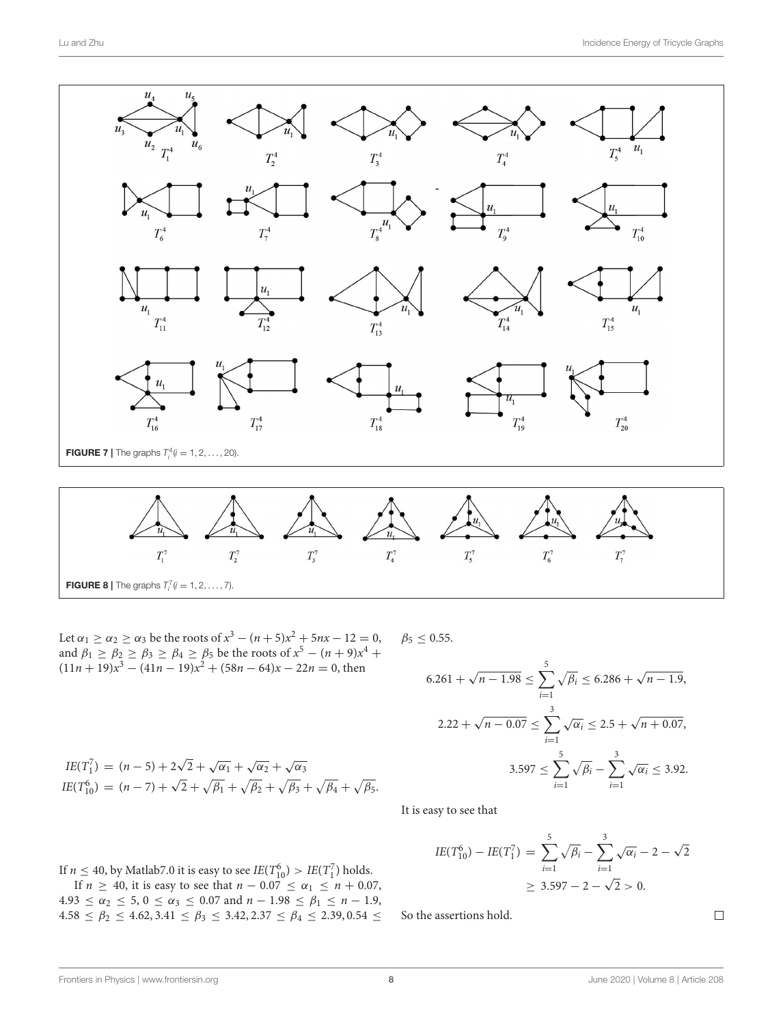![](_page_7_Figure_2.jpeg)

<span id="page-7-1"></span><span id="page-7-0"></span>Let  $\alpha_1 \ge \alpha_2 \ge \alpha_3$  be the roots of  $x^3 - (n+5)x^2 + 5nx - 12 = 0$ , and  $\beta_1 \geq \beta_2 \geq \beta_3 \geq \beta_4 \geq \beta_5$  be the roots of  $x^5 - (n+9)x^4 +$  $(11n + 19)x<sup>3</sup> - (41n - 19)x<sup>2</sup> + (58n - 64)x - 22n = 0$ , then  $\beta_5 \leq 0.55$ .

$$
6.261 + \sqrt{n - 1.98} \le \sum_{i=1}^{5} \sqrt{\beta_i} \le 6.286 + \sqrt{n - 1.9},
$$
  

$$
2.22 + \sqrt{n - 0.07} \le \sum_{i=1}^{3} \sqrt{\alpha_i} \le 2.5 + \sqrt{n + 0.07},
$$
  

$$
3.597 \le \sum_{i=1}^{5} \sqrt{\beta_i} - \sum_{i=1}^{3} \sqrt{\alpha_i} \le 3.92.
$$

$$
IE(T_{10}^{6}) = (n-7) + \sqrt{2} + \sqrt{\beta_1} + \sqrt{\beta_2} + \sqrt{\beta_3} + \sqrt{\beta_4} + \sqrt{\beta_5}.
$$
  
It is easy to see that

$$
IE(T_{10}^6) - IE(T_1^7) = \sum_{i=1}^5 \sqrt{\beta_i} - \sum_{i=1}^3 \sqrt{\alpha_i} - 2 - \sqrt{2}
$$
  
\n
$$
\geq 3.597 - 2 - \sqrt{2} > 0.
$$

If  $n \leq 40$ , by Matlab7.0 it is easy to see  $IE(T_{10}^6) > IE(T_1^7)$  holds.

 $IE(T_1^7) = (n-5) + 2\sqrt{2} + \sqrt{\alpha_1} + \sqrt{\alpha_2} + \sqrt{\alpha_3}$ 

If  $n \geq 40$ , it is easy to see that  $n - 0.07 \leq \alpha_1 \leq n + 0.07$ ,  $4.93 \le \alpha_2 \le 5, 0 \le \alpha_3 \le 0.07 \text{ and } n - 1.98 \le \beta_1 \le n - 1.9,$  $4.58 \le \beta_2 \le 4.62, 3.41 \le \beta_3 \le 3.42, 2.37 \le \beta_4 \le 2.39, 0.54 \le$ 

So the assertions hold.

 $\Box$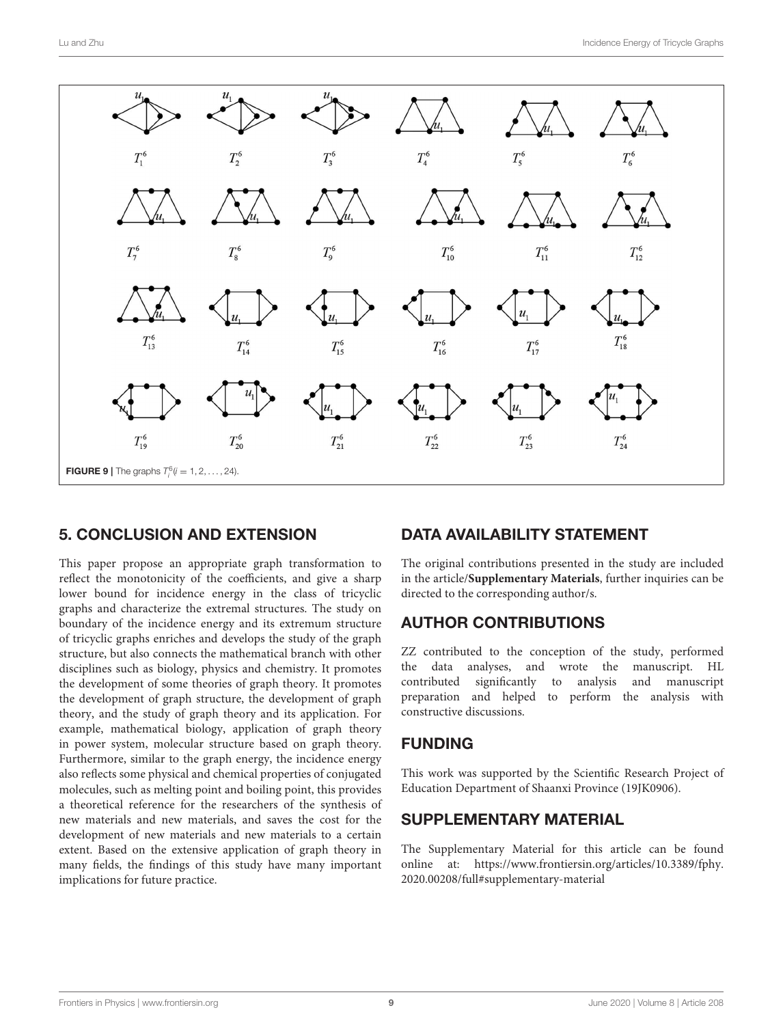![](_page_8_Figure_2.jpeg)

### <span id="page-8-0"></span>5. CONCLUSION AND EXTENSION

This paper propose an appropriate graph transformation to reflect the monotonicity of the coefficients, and give a sharp lower bound for incidence energy in the class of tricyclic graphs and characterize the extremal structures. The study on boundary of the incidence energy and its extremum structure of tricyclic graphs enriches and develops the study of the graph structure, but also connects the mathematical branch with other disciplines such as biology, physics and chemistry. It promotes the development of some theories of graph theory. It promotes the development of graph structure, the development of graph theory, and the study of graph theory and its application. For example, mathematical biology, application of graph theory in power system, molecular structure based on graph theory. Furthermore, similar to the graph energy, the incidence energy also reflects some physical and chemical properties of conjugated molecules, such as melting point and boiling point, this provides a theoretical reference for the researchers of the synthesis of new materials and new materials, and saves the cost for the development of new materials and new materials to a certain extent. Based on the extensive application of graph theory in many fields, the findings of this study have many important implications for future practice.

# DATA AVAILABILITY STATEMENT

The original contributions presented in the study are included in the article/**[Supplementary Materials](#page-8-1)**, further inquiries can be directed to the corresponding author/s.

### AUTHOR CONTRIBUTIONS

ZZ contributed to the conception of the study, performed the data analyses, and wrote the manuscript. HL contributed significantly to analysis and manuscript preparation and helped to perform the analysis with constructive discussions.

### FUNDING

This work was supported by the Scientific Research Project of Education Department of Shaanxi Province (19JK0906).

#### SUPPLEMENTARY MATERIAL

<span id="page-8-1"></span>The Supplementary Material for this article can be found [online at: https://www.frontiersin.org/articles/10.3389/fphy.](https://www.frontiersin.org/articles/10.3389/fphy.2020.00208/full#supplementary-material) 2020.00208/full#supplementary-material